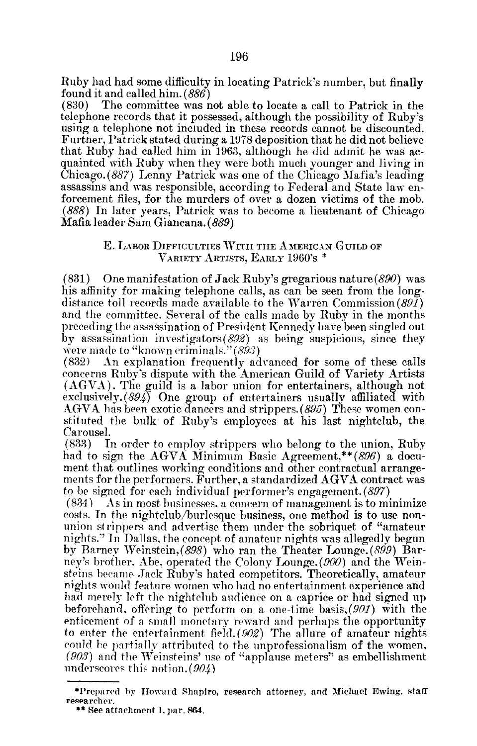Ruby had had some difficulty in locating Patrick's number, but finally found it and called him.  $(886)$ <br>(830) The committee was n

The committee was not able to locate a call to Patrick in the telephone records that it possessed, although the possibility of Ruby's using a telephone not included in these records cannot be discounted. Furtner, Patrick stated during a1978 deposition that he did not believe that Ruby had called him in 1963, although he did admit he was acquainted with Ruby when they were both much younger and living in Chicago. (887) Lenny Patrick was one of the Chicago Mafia's leading assassins and was responsible, according to Federal and State law enforcement files, for the murders of over a dozen victims of the mob. (888) In later years, Patrick was to become a lieutenant of Chicago Mafia leader SamGiancana. (889)

## E. LABOR DIFFICULTIES WITH THE AMERICAN GUILD OF VARIETY ARTISTS, EARLY 1960's

(831) One manifestation of Jack Ruby's gregarious nature  $(890)$  was his affinity for making telephone calls, as can be seen from the longdistance toll records made available to the Warren Commission (891) and the committee. Several of the calls made by Ruby in the months preceding the assassination of President Kennedy have been singled out by assassination investigators $(892)$  as being suspicious, since they were made to "known criminals."  $(893)$ <br> $(832)$  An explanation frequently ad

An explanation frequently advanced for some of these calls concerns Ruby's dispute with the American Guild of Variety Artists (AGVA) . The guild is a labor union for entertainers, although not exclusively. (894) One group of entertainers usually affiliated with AGVA has been exotic dancers and strippers. (895) These women constituted the bulk of Ruby's employees at his last nightclub, the Carousel.<br>(833) I

In order to employ strippers who belong to the union, Ruby had to sign the AGVA Minimum Basic Agreement,\*\* $(896)$  a document that outlines working conditions and other contractual arrangements for the performers. Further, <sup>a</sup> standardized AGVA contract was to be signed for each individual performer's engagement.  $(897)$ <br>(834) As in most businesses, a concern of management is to mi

As in most businesses, a concern of management is to minimize costs. In the nightclub/burlesque business, one method is to use nonunion strippers and advertise them under the sobriquet of "amateur nights ." In Dallas, the concept of amateur nights was allegedly begun by Barney Weinstein, (898) who ran the Theater Lounge. (899) Barney's brother, Abe, operated the Colony Lounge, (900) and the Weinsteins became Jack Ruby's hated competitors. Theoretically, amateur nights would feature women who had no entertainment experience and had merely left the nightclub audience on a caprice or had signed up beforehand, offering to perform on a one-time basis,(901) with the enticement of a small monetary reward and perhaps the opportunity to enter the entertainment field.  $(902)$  The allure of amateur nights could he partially attributed to the unprofessionalism of the women,  $(903)$  and the Weinsteins' use of "applause meters" as embellishment underscores this notion .(904)

<sup>\*</sup>Prepared by Howard Shapiro, research attorney, and Michael Ewing. staff researcher,

 $**$  See attachment 1, par. 864.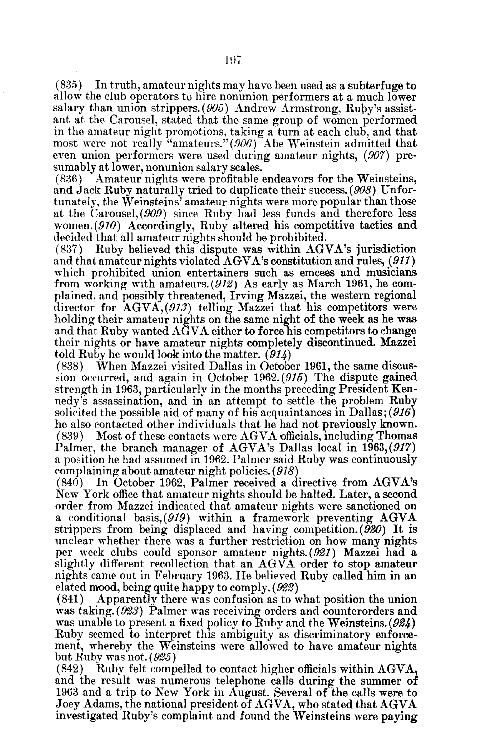(835) In truth, amateur nights may have been used as a subterfuge to allow the club operators to hire nonunion performers at a much lower salary than union strippers.  $(905)$  Andrew Armstrong, Ruby's assistant at the Carousel, stated that the same group of women performed in the amateur night promotions, taking a turn at each club, and that most were not really "amateurs."  $(906)$  Abe Weinstein admitted that even union performers were used during amateur nights, (907) presumably at lower, nonunion salary scales.<br>(836) Amateur nights were profitable

Amateur nights were profitable endeavors for the Weinsteins, and Jack Ruby naturally tried to duplicate their success. (908) Unfortunately, the Weinsteins' amateur nights were more popular than those at the Carousel, (909) since Ruby had less funds and therefore less women. (910) Accordingly, Ruby altered his competitive tactics and decided that all amateur nights should be prohibited.<br>(837) Ruby believed this dispute was within AG

Ruby believed this dispute was within AGVA's jurisdiction and that amateur nights violated AGVA's constitution and rules, (911) which prohibited union entertainers such as emcees and musicians from working with amateurs. (912) As early as March 1961, he complained, and possibly threatened, Irving Mazzei, the western regional director for  $AGVA$ , (913) telling Mazzei that his competitors were holding their amateur nights on the same night of the week as he was and that Ruby wanted AGVA either to force his competitors to change their nights or have amateur nights completely discontinued. Mazzei told Ruby he would look into the matter.  $(914)$ <br>(838) When Mazzei visited Dallas in Octobe

When Mazzei visited Dallas in October 1961, the same discussion occurred, and again in October 1962. (915) The dispute gained strength in 1963, particularly in the months preceding President Kennedy's assassination, and in an attempt to settle the problem Ruby solicited the possible aid of many of his acquaintances in Dallas; (916) he also contacted other individuals that he had not previously known.<br>(839) Most of these contacts were AGVA officials, including Thomas Most of these contacts were AGVA officials, including Thomas Palmer, the branch manager of AGVA's Dallas local in 1963, (917) <sup>a</sup> position he had assumed in 1962. Palmer said Ruby was continuously complaining about amateur night policies. (918)<br>(840) In October 1962, Palmer received a d

In October 1962, Palmer received a directive from AGVA's New York office that amateur nights should be halted. Later, a second order from Mazzei indicated that amateur nights were sanctioned on a conditional basis,  $(919)$  within a framework preventing  $AGVA$ strippers from being displaced and having competition.  $(\bar{920})$  It is unclear whether there was <sup>a</sup> further restriction on how many nights per week clubs could sponsor amateur nights (921) Mazzei had a slightly different recollection that an AGVA order to stop amateur nights came out in February <sup>1963</sup> . He believed Ruby called him in an elated mood, being quite happy to comply. (922)<br>(841) Apparently there was confusion as to v

Apparently there was confusion as to what position the union was taking. (923) Palmer was receiving orders and counterorders and was unable to present a fixed policy to Ruby and the Weinsteins.  $(924)$ Ruby seemed to interpret this ambiguity as discriminatory enforcement, whereby the Weinsteins were allowed to have amateur nights but Ruby was not.  $(925)$ <br>(842) Ruby felt comp

Ruby felt compelled to contact higher officials within AGVA, and the result was numerous telephone calls during the summer of <sup>1963</sup> and <sup>a</sup> trip to New York in August. Several of the calls were to Joey Adams, the national president of AGVA, who stated that AGVA investigated Ruby's complaint and found the Weinsteins were paying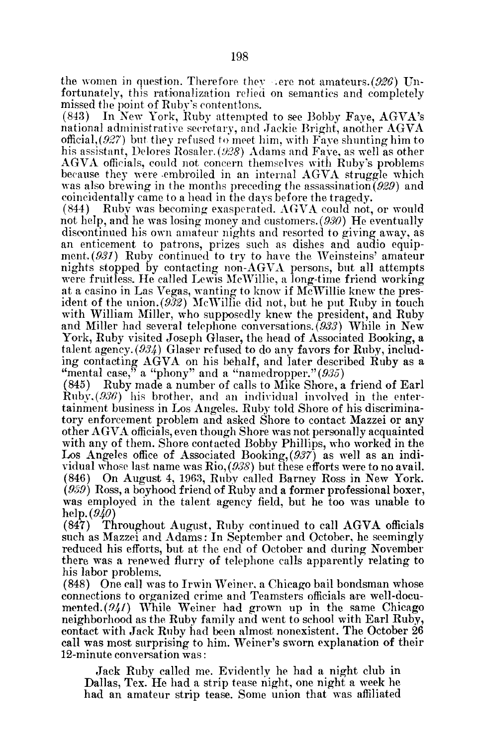the women in question. Therefore they sere not amateurs.  $(926)$  Unfortunately, this rationalization relied on semantics and completely missed the point of Ruby's contentions.<br>(843) In New York, Ruby attempted

In New York, Ruby attempted to see Bobby Faye, AGVA's national administrative secretary, and Jackie Bright, another AGVA official,  $(927)$  but they refused to meet him, with Faye shunting him to his assistant, Delores Rosaler. (928) Adams and Faye, as well as other AGVA officials, could not concern themselves with Ruby's problems because they were -embroiled in an internal AGVA struggle which was also brewing in the months preceding the assassination (929) and

coincidentally came to a head in the days before the tragedy. Ruby was becoming exasperated. AGVA could not, or would not help, and he was losing money and customers. (930) He eventually discontinued his own amateur nights and resorted to giving away, as an enticement to patrons, prizes such as dishes and audio equipment. (931) Ruby continued to try to have the Weinsteins' amateur nights stopped by contacting non-AGVA persons, but all attempts were fruitless. He called Lewis McWillie, a long-time friend working at a casino in Las Vegas, wanting to know if  $M<sub>c</sub>$  Willie knew the president of the union.  $(9\bar{3}2)$  McWillie did not, but he put Ruby in touch with William Miller, who supposedly knew the president, and Ruby and Miller had several telephone conversations. (933) While in New York, Ruby visited Joseph Glaser, the head of Associated Booking, a talent agency. (934) Glaser refused to do any favors for Ruby, including contacting AGVA on his behalf, and later described Ruby as <sup>a</sup> "mental case,  $\stackrel{3}{\sim}$  a "phony" and a "namedropper." (935) (845) Ruby made a number of calls to Mike Shore, a

Ruby made a number of calls to Mike Shore, a friend of Earl Ruby,  $(936)$  his brother, and an individual involved in the entertainment business in Los Angeles. Ruby told Shore of his discriminatory enforcement problem and asked Shore to contact Mazzei or any other AGVA officials, even though Shore was not personally acquainted with any of them. Shore contacted Bobby Phillips, who worked in the Los Angeles office of Associated Booking, (937) as well as an individual whose last name was Rio,  $(938)$  but these efforts were to no avail.<br>(846) On August 4, 1963, Ruby called Barney Ross in New York. On August 4, 1963, Ruby called Barney Ross in New York.  $(959)$  Ross, a boyhood friend of Ruby and a former professional boxer, was employed in the talent agency field, but he too was unable to

help.(*940*)<br>(847) Th Throughout August, Ruby continued to call AGVA officials such as Mazzei and Adams: In September and October, he seemingly reduced his efforts, but at the end of October and during November there was a renewed flurry of telephone calls apparently relating to his labor problems.

(848) One call was to Irwin Weiner. a Chicago bail bondsman whose connections to organized crime and Teamsters officials are well-documented.  $(941)$  While Weiner had grown up in the same Chicago neighborhood as the Ruby family and went to school with Earl Ruby, contact with Jack Ruby had been almost nonexistent. The October 26 call was most surprising to him. Weiner's sworn explanation of their 12-minute conversation was

Jack Ruby called me. Evidently he had a night club in Dallas, Tex. He had a strip tease night., one night a week he had an amateur strip tease. Some union that was affiliated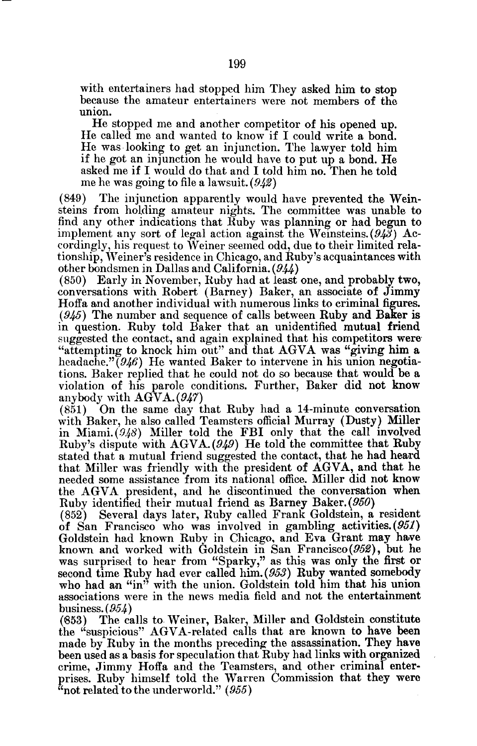with entertainers had stopped him They asked him to stop because the amateur entertainers were not members of the union.

He stopped me and another competitor of his opened up. He called me and wanted to know if <sup>I</sup> could write <sup>a</sup> bond. He was looking to get an injunction . The lawyer told him if he got an injunction he would have to put up a bond. He asked me if I would do that and I told him no. Then he told me he was going to file a lawsuit.  $(942)$ 

(849) The injunction apparently would have prevented the Weinsteins from holding amateur nights . The committee was unable to find any other indications that Ruby was planning or had begun to implement any sort of legal action against the Weinsteins.  $(94\bar{3})$  Accordingly, his request to Weiner seemed odd, due to their limited relationship, Weiner's residence in Chicago, and Ruby's acquaintances with other bondsmen in Dallas and California. (944)

(850) Early in November, Ruby had at least one, and probably two, conversations with Robert (Barney) Baker, an associate of Jimmy Hoffa and another individual with numerous links to criminal figures.  $(945)$  The number and sequence of calls between Ruby and Baker is in question. Ruby told Baker that an unidentified mutual friend suggested the contact, and again explained that his competitors were "attempting to knock him out" and that AGVA was "giving him <sup>a</sup> headache."  $(946)$  He wanted Baker to intervene in his union negotiations. Baker replied that he could not do so because that would be a violation of his parole conditions . Further, Baker did not know anybody with AGVA.(947)

(851) On the same day that Ruby had a 14-minute conversation with Baker, he also called Teamsters official Murray (Dusty) Miller in Miami.  $(948)$  Miller told the FBI only that the call involved Ruby's dispute with  $AGVA. (949)$  He told the committee that Ruby stated that a mutual friend suggested the contact, that he had heard that Miller was friendly with the president of AGVA, and that he needed some assistance from its national office. Miller did not know the AGVA president, and he discontinued the conversation when Ruby identified their mutual friend as Barney Baker. (950) (852) Several days later, Ruby called Frank Goldstein, a

Several days later, Ruby called Frank Goldstein, a resident of San Francisco who was involved in gambling activities. (951) Goldstein had known Ruby in Chicago, and Eva Grant may have known and worked with Goldstein in San Francisco(952), but he was surprised to hear from "Sparky," as this was only the first or second time Ruby had ever called him. (953) Ruby wanted somebody who had an "in" with the union. Goldstein told him that his union associations were in the news media field and not the entertainment

business.  $(954)$ <br>(853) The ca The calls to Weiner, Baker, Miller and Goldstein constitute the "suspicious" AGVA-related calls that are known to have been made by Ruby in the months preceding the assassination. They have been used as a basis for speculation that Ruby had links with organized crime, Jimmy Hoffa and the Teamsters, and other criminal enterprises. Ruby himself told the Warren Commission that they were  $\alpha$  not related to the underworld." (955)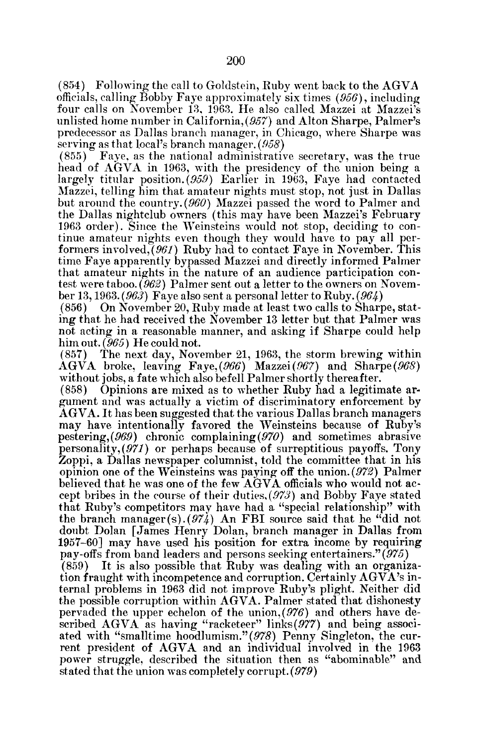(854) Following the call to Goldstein, Ruby went back to the AGVA officials, calling Bobby Faye approximately six times (956), including four calls on November 13, 1963. He also called Mazzei at Mazzei's unlisted home number in California, (957) and Alton Sharpe, Palmer's predecessor as Dallas branch manager, in Chicago, where Sharpe was serving as that local's branch manager. (958)

(855) Faye, as the national administrative secretary, was the true head of AGVA in 1963, with the presidency of the union being <sup>a</sup> largely titular position.  $(959)$  Earlier in 1963, Faye had contacted Mazzei, telling him that amateur nights must stop, not just in Dallas but around the country. (960) Mazzei passed the word to Palmer and the Dallas nightclub owners (this may have been Mazzei's February 1963 order) . Since the Weinsteins would not stop, deciding to continue amateur nights even though they would have to pay all performers involved, $(961)$  Ruby had to contact Faye in November. This time Faye apparently bypassed Mazzei and directly informed Palmer that amateur nights in the nature of an audience participation contest were taboo. (962) Palmer sent out a letter to the owners on November 13, 1963. (963) Faye also sent a personal letter to Ruby. (964)

(856) On November 20, Ruby made at least two calls to Sharpe, stating that he had received the November 13 letter but that Palmer was not acting in a reasonable manner, and asking if Sharpe could help him out.  $(965)$  He could not.<br>(857) The next day, Nove

The next day, November 21, 1963, the storm brewing within AGVA broke, leaving Faye, (966) Mazzei (967) and Sharpe (968) without jobs, a fate which also befell Palmer shortly thereafter.<br>(858) Opinions are mixed as to whether Ruby had a legitin

(858) Opinions are mixed as to whether Ruby had a legitimate argument and was actually a victim of discriminatory enforcement by AGVA. It has been suggested that the various Dallas branch managers may have intentionally favored the Weinsteins because of Ruby's pestering,  $(969)$  chronic complaining  $(970)$  and sometimes abrasive personality, (971) or perhaps because of surreptitious payoffs. Tony Zoppi, a Dallas newspaper columnist, told the committee that in his opinion one of the Weinsteins was paying off the union.  $(972)$  Palmer believed that he was one of the few AGVA officials who would not accept bribes in the course of their duties,(973) and Bobby Faye stated that Ruby's competitors may have had a "special relationship" with the branch manager(s)  $(974)$  An FBI source said that he "did not doubt Dolan [James Henry Dolan, branch manager in Dallas from 1957-60] may have used his position for extra income by requiring

pay-offs from band leaders and persons seeking entertainers." (975)<br>(859) It is also possible that Ruby was dealing with an organiz It is also possible that Ruby was dealing with an organization fraught with incompetence and corruption. Certainly  $AGVA$ 's internal problems in 1963 did not improve Ruby's plight. Neither did the possible corruption within AGVA. Palmer stated that dishonesty pervaded the upper echelon of the union,  $(976)$  and others have described AGVA as having "racketeer" links(977) and being associated with "smalltime hoodlumism."(978) Penny Singleton, the current president of AGVA and an individual involved in the <sup>1963</sup> power struggle, described the situation then as "abominable" and stated that the union was completely corrupt. (979)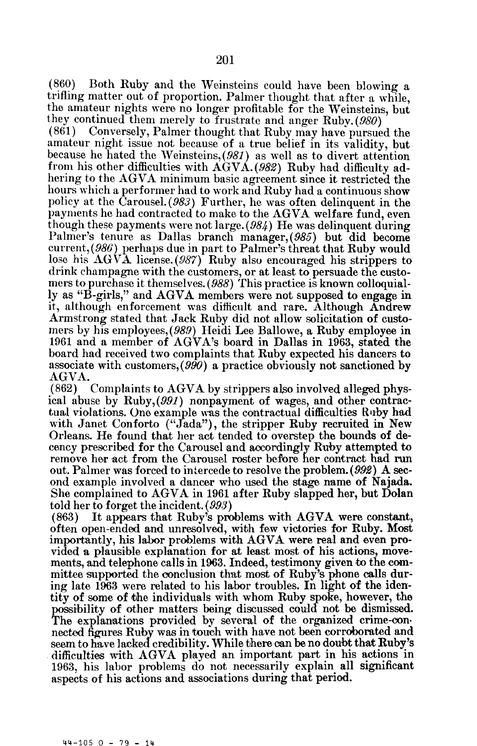(860) Both Ruby and the Weinsteins could have been blowing a trifling matter out of proportion. Palmer thought that after a while, the amateur nights were no longer profitable for the Weinsteins, but they continued them merely to frustrate and anger Ruby. (980) (861) Conversely, Palmer thought that Ruby may have pursue

Conversely, Palmer thought that Ruby may have pursued the amateur night issue not because of a true belief in its validity, but because he hated the Weinsteins, (981) as well as to divert attention from his other difficulties with AGVA. (982) Ruby had difficulty adhering to the AGVA minimum basic agreement since it restricted the hours which <sup>a</sup> performer had to work and Ruby had a continuous show policy at the Carousel. (983) Further, he was often delinquent in the payments he had contracted to make to the AGVA welfare fund, even though these payments were not large.  $(984)$  He was delinquent during Palmer's tenure as Dallas branch manager,(985) but did become current, (986) perhaps due in part to Palmer's threat that Ruby would lose his AGVA license. (987) Ruby also encouraged his strippers to drink champagne with the customers, or at least to persuade the customers to purchase it themselves. (988) This practice is known colloquially as "B-girls," and AGVA members were not supposed to engage in it, although enforcement was difficult and rare. Although Andrew Armstrong stated that Jack Ruby did not allow solicitation of customers by his employees, (989) Heidi Lee Ballowe, a Ruby employee in <sup>1961</sup> and a member of AGVA's board in Dallas in 1963, stated the board had received two complaints that Ruby expected his dancers to associate with customers,  $(990)$  a practice obviously not sanctioned by AGVA.<br>(862)

Complaints to AGVA by strippers also involved alleged physical abuse by Ruby, (991) nonpayment of wages, and other contractual violations. One example was the contractual difficulties Ruby had with Janet Conforto ("Jada"), the stripper Ruby recruited in New Orleans. He found that her act tended to overstep the bounds of decency prescribed for the Carousel and accordingly Ruby attempted to remove her act from the Carousel roster before her contract had run out. Palmer was forced to intercede to resolve the problem.  $(992)$  A second example involved a dancer who used the stage name of Najada. She complained to AGVA in <sup>1961</sup> after Ruby slapped her, but Dolan told her to forget the incident.  $(993)$ <br>(863) It appears that Ruby's pro

It appears that Ruby's problems with AGVA were constant, often open-ended and unresolved, with few victories for Ruby. Most importantly, his labor problems with AGVA were real and even provided a plausible explanation for at least most of his actions, movements, and telephone calls in 1963. Indeed, testimony given to the committee supported the conclusion that most of Ruby's phone calls during late 1963 were related to his labor troubles. In light of the identity of some of the individuals with whom Ruby spoke, however, the possibility of other matters being discussed could not be dismissed. The explanations provided by several of the organized crime-connected figures Ruby was in touch with have not been corroborated and seem to have lacked credibility. While there can be no doubt that Ruby's difficulties with AGVA played an important part in his actions in 1963, his labor problems do not necessarily explain all significant aspects of his actions and associations during that period.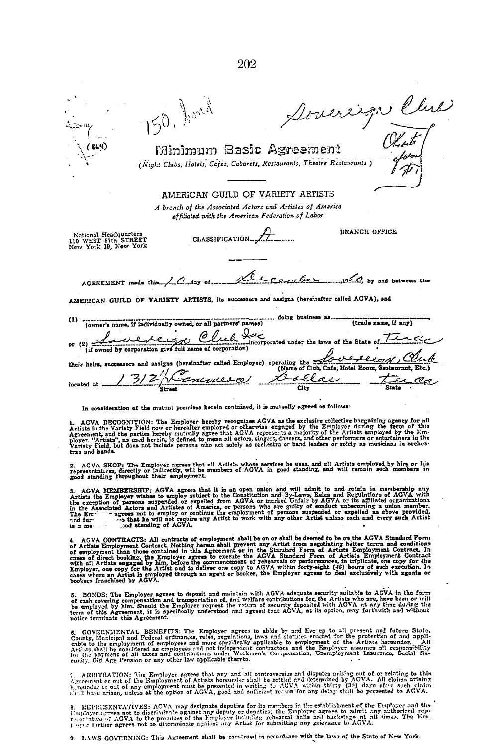Doverign Club) 150. Jond Minimum Basic Agreement (Night Clubs, Hotels, Cofes, Cobarets, Restaurants, Theatre Restaurants) AMERICAN GUILD OF VARIETY ARTISTS A branch of the Associated Actors and Artistes of America of filiated with the American Federation of Labor National Headquarters<br>110 WEST 57th STREET<br>New York 19, New York **RRANCH OFFICE** CLASSIFICATION.... ぐ 1996 by and between the  $AGREEMENT$  made this  $\angle$   $\angle$   $\angle$   $\angle$   $\triangle$   $\triangle$   $\triangle$   $\angle$   $\angle$   $\angle$  $\sqrt{2}$ AMERICAN GUILD OF VARIETY ARTISTS, its successors and assigns (hereinafter called AGVA), and (owner's name, if individually owned, or all partners' names) doing business as.  $(1)$ (trade name, if any) reiga Club da عدمه incorporated under the laws of the State of. (if owned by corporation give full name of corporation) <u>Lo v</u> <u>execope, Clu</u> their heirs, successors and assigns (hereinafter called Employer) operating the their heirs, successors and assigns (hereinafter called Employer) operating the  $\frac{C}{C}$ s.El <u> Temmes</u> <u>ae</u>  $\overline{r}$ located at. City In consideration of the mutual promises herein contained, it is mutually agreed as follows:

1. AGVA RECOGNITION: The Employer hereby recognizes AGVA as the exclusive collective bargaining agency for all Artists in the Variety Field now or hereafter employed or otherwise engaged by the Employer during the term of

2. AGVA SHOP: The Employer agrees that all Artists whose services he uses, and all Artists employed by him or his representatives, directly or indirectly, will be members of AGVA in good standing, and will remain such memb

3. AGVA MEMBERSHIP: AGVA agrees that it is an open union and will admit to and retain in membership uny Artists the Employer wishes to employ subject to the Constitution and By-Laws, Eales and Regulations of AGVA with the

4. ACVA CONTRACTS: All contracts of employment shall be on or shall be deemed to be on the AGVA Standard Form of Artists Employment Contract. Nothing herein shall prevent any Artist from negotiating better terms and condit

5. BONDS: The Employer agrees to deposit and maintain with AGVA adequate security suitable to AGVA in the form<br>of cash covering compensation and transportation of, and welfare contributions for, the Artists who are, have b

6. GOVERNMENTAL BENEFITS: The Employer agrees to abide by and live up to all present and future State. County, Municipal and Federal ordinances, rules, regulations, subsection of and appli-<br>county, Municipal and Federal o

7. ARBITRATION: The Employer agrees that any and all controversies and disputes arising out of or relating to this Agreement or out of the Employment of Artists hereunder of a streament or out of the Employment of Artists

8. EEPECSENTATIVES: AGVA may designate deputies for its members in the establishment of the Employer and the Employer and the Employer and the Employer and the Employer and the Employer and the Employer and the Employer ar

9. LAWS GOVERNING: This Agreement shall be construed in accordance with the laws of the State of New York.

202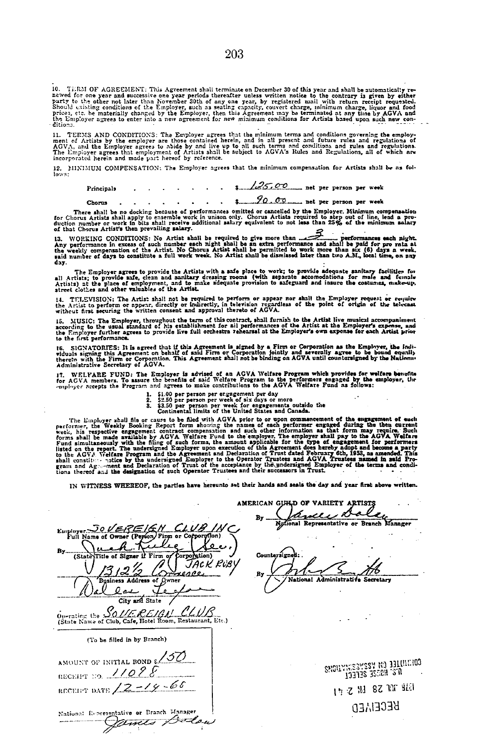10. TERM OF AGREEMENT: This Agreement shall terminate on December 30 of this year and shall be automatically re-<br>newed for one year and successive one year periods thereafter unless written notice to the contrary is given

11. TERNS AND CONDITIONS: The Employer agrees that the minimum terms and conditions governing the employ-<br>ment of Artists by the employer are those contained herein, and in all present and future rules and regulations of<br>A

12. MINIMUM COMPENSATION: The Employer agrees that the minimum compensation for Artists shall be as fol-

| Principals |  |  |  |  | $\frac{1}{25.00}$ net per person per week |  |                                                                                           |  |
|------------|--|--|--|--|-------------------------------------------|--|-------------------------------------------------------------------------------------------|--|
|            |  |  |  |  | 90m                                       |  | the company of the company of the company of the company of the company of the company of |  |

Chorus<br>
There shall be no docking because of performances omitted or cancelled by the Employer. Minimum compensation<br>
for Chorus Artists shall apply to ensemble work in unison only. Chorus Artists required to step out of

of that Chorus Artist's then prevailing salary.<br>
13. WORKING CONDITIONS: No Artist shall be required to give more than the communication of the paid for providence in excess of such number seach paid for providence and sha

day.<br>The Employer agrees to provide the Artists with a safe place to work; to provide adequate sanitary facilities for<br>all Artists; to provide safe, clean and sanitary dressing rooms (with separate accomodations for male a

14. TELEVISION: The Artis: shall not be required to perform or appear nor shall the Employer request or require<br>the Artist to perform or appear, directly or indirectly, in television regardless of the point of origin of th

15. MUSIC: The Employer, throughout the term of this contract, shall furnish to the Artist live musical accompaniment<br>according to the usual standard of his establishment for all performances of the Artist at the Employer'

16. SIGNATORIES: It is agreed that if this Agreement is signed by a Firm or Corporation as the Employer, the Indi-<br>viduals signing this Agreement on behalf of said Firm or Corporation jointly and severally agree to be boun

17. WELFARE FUND: The Employer is advised of an AGVA Welfare Program which provides for welfare benefits<br>for AGVA members. To assure the benefits of said Welfare Program to the performers engaged by the employer, the<br>-mplo

- 
- 
- 1. \$1.00 per person per engagement per day<br>2. \$2.50 per person per week of six days or more<br>3. \$3.50 per person per week for engagements outside the<br>1. \$3.50 per person per also alle also considered for the
	-

The Employer shall file or cause to be filed initis of the United States and Canada.<br>
The Employer shall file or cause to be filed with AGVA prior to or upon commancement of the suggement of each<br>
performer, the Weekly Boo

IN WITNESS WHEREOF, the parties have hereunto set their hands and seals the day and year first above written .

| Euroloyer JOVEREIGN CLUB IN<br>Full Name of Owner (Person/Firm or Corporation) |           |  |
|--------------------------------------------------------------------------------|-----------|--|
| By……                                                                           |           |  |
| (State Title of Signer if Firm of Corporation)                                 | JACK RUBY |  |
|                                                                                |           |  |
| Business Address of Owner                                                      |           |  |
| $\theta$ and<br>City and State                                                 |           |  |
| Operating the SOUE REIGH CLUB                                                  |           |  |
| (State Name of Club, Cafe, Hotel Room, Restaurant, Etc.)                       |           |  |
| (To be filled in by Branch)                                                    |           |  |
|                                                                                |           |  |
| AMOUNT OF INITIAL BOND \$ 150                                                  |           |  |
| RECEIPT 110. 11098                                                             |           |  |
| RECEIPT DATE $/2 - 19 - 66$                                                    |           |  |
|                                                                                |           |  |
| ational Representative or Branch Manager                                       |           |  |
| Tim Is                                                                         |           |  |

SMOILYN:23MSSM NO 331101:100 131?S j; .it,tt'~ 1 17 2 111 8Z 111 9ZJ **BECEIAED** 

AMERICAN GUHD OF VARIETY ARTISTS Bucce Balley

 $\ddot{\phantom{a}}$ Countersign

By National Administrative Secretary